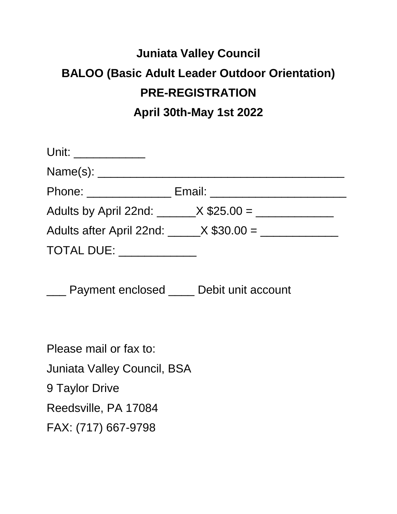## **Juniata Valley Council BALOO (Basic Adult Leader Outdoor Orientation) PRE-REGISTRATION April 30th-May 1st 2022**

| Unit: ____________        |                                                   |
|---------------------------|---------------------------------------------------|
|                           |                                                   |
| Phone: _______________    | Email: __________________________                 |
|                           | Adults by April 22nd: $X$ \$25.00 = $\frac{1}{1}$ |
|                           | Adults after April 22nd: X \$30.00 =              |
| TOTAL DUE: ______________ |                                                   |

\_\_\_ Payment enclosed \_\_\_\_ Debit unit account

Please mail or fax to: Juniata Valley Council, BSA 9 Taylor Drive Reedsville, PA 17084 FAX: (717) 667-9798